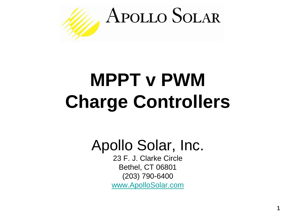

# **MPPT v PWM Charge Controllers**

Apollo Solar, Inc.

23 F. J. Clarke Circle Bethel, CT 06801 (203) 790-6400 [www.ApolloSolar.com](http://www.apollosolar.com/)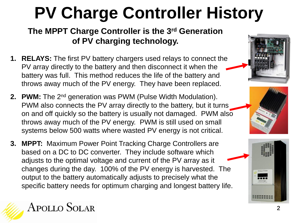# **PV Charge Controller History**

#### **The MPPT Charge Controller is the 3rd Generation of PV charging technology.**

- **1. RELAYS:** The first PV battery chargers used relays to connect the PV array directly to the battery and then disconnect it when the battery was full. This method reduces the life of the battery and throws away much of the PV energy. They have been replaced.
- **2. PWM:** The 2nd generation was PWM (Pulse Width Modulation). PWM also connects the PV array directly to the battery, but it turns on and off quickly so the battery is usually not damaged. PWM also throws away much of the PV energy. PWM is still used on small systems below 500 watts where wasted PV energy is not critical.
- **3. MPPT:** Maximum Power Point Tracking Charge Controllers are based on a DC to DC converter. They include software which adjusts to the optimal voltage and current of the PV array as it changes during the day. 100% of the PV energy is harvested. The output to the battery automatically adjusts to precisely what the specific battery needs for optimum charging and longest battery life.





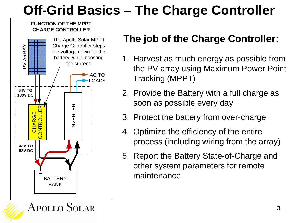### **Off-Grid Basics – The Charge Controller**

#### **FUNCTION OF THE MPPT CHARGE CONTROLLER**



#### **The job of the Charge Controller:**

- 1. Harvest as much energy as possible from the PV array using Maximum Power Point Tracking (MPPT)
- 2. Provide the Battery with a full charge as soon as possible every day
- 3. Protect the battery from over-charge
- 4. Optimize the efficiency of the entire process (including wiring from the array)
- 5. Report the Battery State-of-Charge and other system parameters for remote maintenance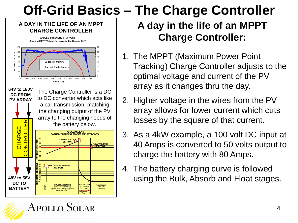### **Off-Grid Basics – The Charge Controller**

#### **A DAY IN THE LIFE OF AN MPPT CHARGE CONTROLLER**



Apollo Solar

### **A day in the life of an MPPT Charge Controller:**

- 1. The MPPT (Maximum Power Point Tracking) Charge Controller adjusts to the optimal voltage and current of the PV array as it changes thru the day.
- 2. Higher voltage in the wires from the PV array allows for lower current which cuts losses by the square of that current.
- 3. As a 4kW example, a 100 volt DC input at 40 Amps is converted to 50 volts output to charge the battery with 80 Amps.
- 4. The battery charging curve is followed using the Bulk, Absorb and Float stages.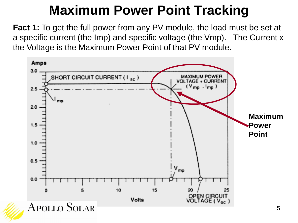### **Maximum Power Point Tracking**

**Fact 1:** To get the full power from any PV module, the load must be set at a specific current (the Imp) and specific voltage (the Vmp). The Current x the Voltage is the Maximum Power Point of that PV module.

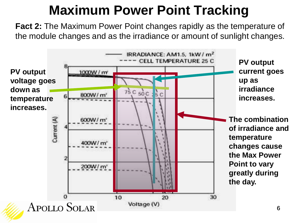### **Maximum Power Point Tracking**

**Fact 2:** The Maximum Power Point changes rapidly as the temperature of the module changes and as the irradiance or amount of sunlight changes.

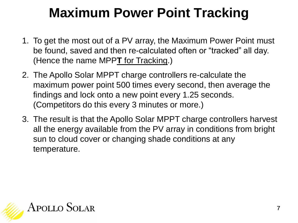### **Maximum Power Point Tracking**

- 1. To get the most out of a PV array, the Maximum Power Point must be found, saved and then re-calculated often or "tracked" all day. (Hence the name MPP**T** for Tracking.)
- 2. The Apollo Solar MPPT charge controllers re-calculate the maximum power point 500 times every second, then average the findings and lock onto a new point every 1.25 seconds. (Competitors do this every 3 minutes or more.)
- 3. The result is that the Apollo Solar MPPT charge controllers harvest all the energy available from the PV array in conditions from bright sun to cloud cover or changing shade conditions at any temperature.

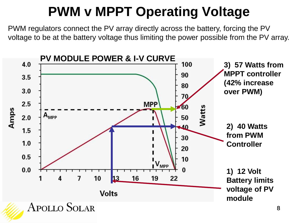### **PWM v MPPT Operating Voltage**

PWM regulators connect the PV array directly across the battery, forcing the PV voltage to be at the battery voltage thus limiting the power possible from the PV array.

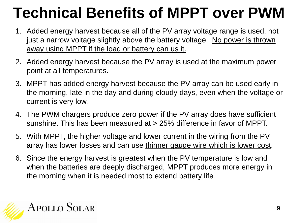# **Technical Benefits of MPPT over PWM**

- 1. Added energy harvest because all of the PV array voltage range is used, not just a narrow voltage slightly above the battery voltage. No power is thrown away using MPPT if the load or battery can us it.
- 2. Added energy harvest because the PV array is used at the maximum power point at all temperatures.
- 3. MPPT has added energy harvest because the PV array can be used early in the morning, late in the day and during cloudy days, even when the voltage or current is very low.
- 4. The PWM chargers produce zero power if the PV array does have sufficient sunshine. This has been measured at > 25% difference in favor of MPPT.
- 5. With MPPT, the higher voltage and lower current in the wiring from the PV array has lower losses and can use thinner gauge wire which is lower cost.
- 6. Since the energy harvest is greatest when the PV temperature is low and when the batteries are deeply discharged, MPPT produces more energy in the morning when it is needed most to extend battery life.

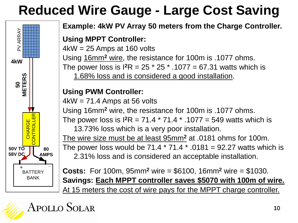### **Reduced Wire Gauge - Large Cost Saving**



**Example: 4kW PV Array 50 meters from the Charge Controller.**

#### **Using MPPT Controller:**

 $4kW = 25$  Amps at 160 volts Using 16mm**<sup>2</sup>** wire, the resistance for 100m is .1077 ohms. The power loss is  $I^2R = 25 * 25 * .1077 = 67.31$  watts which is 1.68% loss and is considered a good installation.

#### **Using PWM Controller:**

 $4kW = 71.4$  Amps at 56 volts Using 16mm**<sup>2</sup>** wire, the resistance for 100m is .1077 ohms. The power loss is  $I^2R = 71.4 * 71.4 * .1077 = 549$  watts which is 13.73% loss which is a very poor installation. The wire size must be at least 95mm**<sup>2</sup>** at .0181 ohms for 100m. The power loss would be  $71.4 * 71.4 * .0181 = 92.27$  watts which is

2.31% loss and is considered an acceptable installation.

**Costs:** For 100m, 95mm**<sup>2</sup>** wire = \$6100, 16mm**<sup>2</sup>** wire = \$1030. **Savings: Each MPPT controller saves \$5070 with 100m of wire.** At 15 meters the cost of wire pays for the MPPT charge controller.

#### APOLLO SOLAR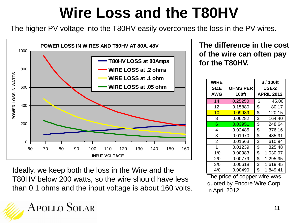## **Wire Loss and the T80HV**

The higher PV voltage into the T80HV easily overcomes the loss in the PV wires.



Ideally, we keep both the loss in the Wire and the T80HV below 200 watts, so the wire should have less than 0.1 ohms and the input voltage is about 160 volts.

#### **The difference in the cost of the wire can often pay for the T80HV.**

| <b>WIRE</b><br><b>SIZE</b><br><b>AWG</b> | <b>OHMS PER</b><br><b>100ft</b> | \$/100ft<br><b>USE-2</b><br><b>APRIL 2012</b> |
|------------------------------------------|---------------------------------|-----------------------------------------------|
| 14                                       | 0.25250                         | \$<br>45.00                                   |
| 12                                       | 0.15880                         | \$<br>80.17                                   |
| 10                                       | 0.09989                         | \$<br>120.15                                  |
| 8                                        | 0.06282                         | \$<br>164.40                                  |
| 6                                        | 0.03951                         | \$<br>248.64                                  |
| 4                                        | 0.02485                         | \$<br>376.16                                  |
| 3                                        | 0.01970                         | \$<br>435.91                                  |
| $\overline{2}$                           | 0.01563                         | \$<br>610.94                                  |
| 1                                        | 0.01239                         | \$<br>825.48                                  |
| 1/0                                      | 0.00983                         | \$<br>1,030.97                                |
| 2/0                                      | 0.00779                         | \$<br>1,295.95                                |
| 3/0                                      | 0.00618                         | \$<br>1,619.45                                |
| 4/0                                      | 0.00490                         | \$<br>1,849.41                                |

The price of copper wire was quoted by Encore Wire Corp in April 2012.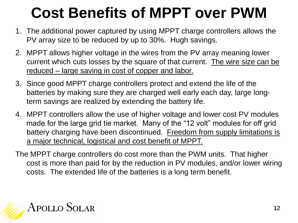# **Cost Benefits of MPPT over PWM**

- 1. The additional power captured by using MPPT charge controllers allows the PV array size to be reduced by up to 30%. Hugh savings.
- 2. MPPT allows higher voltage in the wires from the PV array meaning lower current which cuts losses by the square of that current. The wire size can be reduced – large saving in cost of copper and labor.
- 3. Since good MPPT charge controllers protect and extend the life of the batteries by making sure they are charged well early each day, large longterm savings are realized by extending the battery life.
- 4. MPPT controllers allow the use of higher voltage and lower cost PV modules made for the large grid tie market. Many of the "12 volt" modules for off grid battery charging have been discontinued. Freedom from supply limitations is a major technical, logistical and cost benefit of MPPT.
- The MPPT charge controllers do cost more than the PWM units. That higher cost is more than paid for by the reduction in PV modules, and/or lower wiring costs. The extended life of the batteries is a long term benefit.

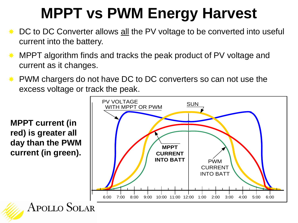# **MPPT vs PWM Energy Harvest**

- ★ DC to DC Converter allows all the PV voltage to be converted into useful current into the battery.
- **MPPT algorithm finds and tracks the peak product of PV voltage and** current as it changes.
- **★ PWM chargers do not have DC to DC converters so can not use the** excess voltage or track the peak.

**MPPT current (in red) is greater all day than the PWM current (in green).**